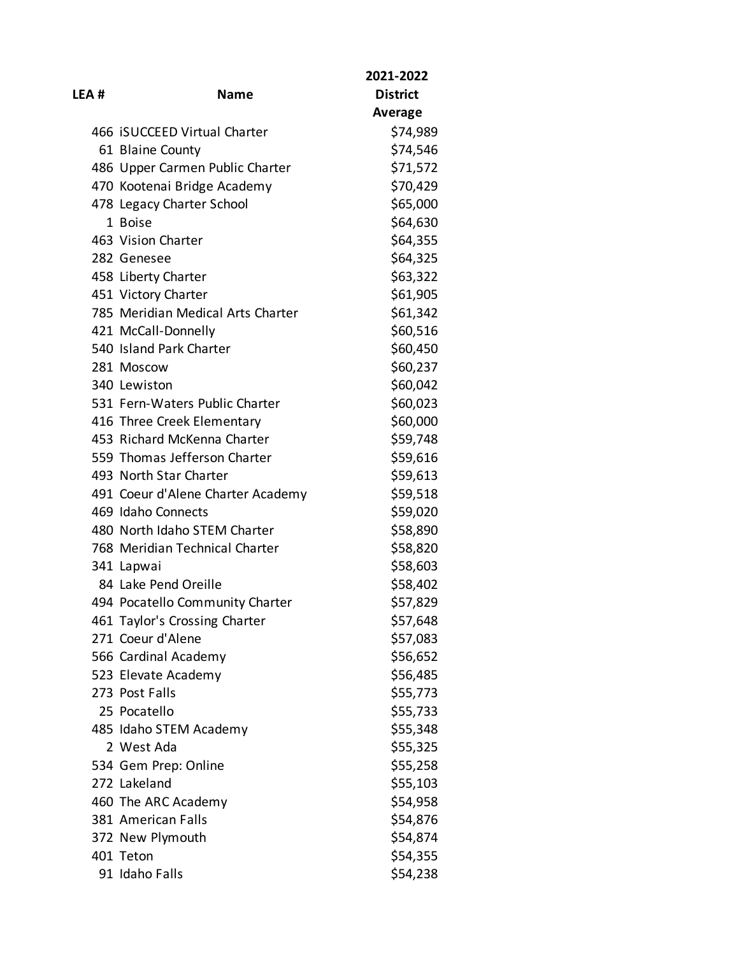| LEA # | <b>Name</b>                       | 2021-2022<br><b>District</b> |
|-------|-----------------------------------|------------------------------|
|       |                                   | Average                      |
|       | 466 ISUCCEED Virtual Charter      | \$74,989                     |
|       | 61 Blaine County                  | \$74,546                     |
|       | 486 Upper Carmen Public Charter   | \$71,572                     |
|       | 470 Kootenai Bridge Academy       | \$70,429                     |
|       | 478 Legacy Charter School         | \$65,000                     |
|       | 1 Boise                           | \$64,630                     |
|       | 463 Vision Charter                | \$64,355                     |
|       | 282 Genesee                       | \$64,325                     |
|       | 458 Liberty Charter               | \$63,322                     |
|       | 451 Victory Charter               | \$61,905                     |
|       | 785 Meridian Medical Arts Charter | \$61,342                     |
|       | 421 McCall-Donnelly               | \$60,516                     |
|       | 540 Island Park Charter           | \$60,450                     |
|       | 281 Moscow                        | \$60,237                     |
|       | 340 Lewiston                      | \$60,042                     |
|       | 531 Fern-Waters Public Charter    | \$60,023                     |
|       | 416 Three Creek Elementary        | \$60,000                     |
|       | 453 Richard McKenna Charter       | \$59,748                     |
|       | 559 Thomas Jefferson Charter      | \$59,616                     |
|       | 493 North Star Charter            | \$59,613                     |
|       | 491 Coeur d'Alene Charter Academy | \$59,518                     |
|       | 469 Idaho Connects                | \$59,020                     |
|       | 480 North Idaho STEM Charter      | \$58,890                     |
|       | 768 Meridian Technical Charter    | \$58,820                     |
|       | 341 Lapwai                        | \$58,603                     |
|       | 84 Lake Pend Oreille              | \$58,402                     |
|       | 494 Pocatello Community Charter   | \$57,829                     |
|       | 461 Taylor's Crossing Charter     | \$57,648                     |
|       | 271 Coeur d'Alene                 | \$57,083                     |
|       | 566 Cardinal Academy              | \$56,652                     |
|       | 523 Elevate Academy               | \$56,485                     |
|       | 273 Post Falls                    | \$55,773                     |
|       | 25 Pocatello                      | \$55,733                     |
|       | 485 Idaho STEM Academy            | \$55,348                     |
|       | 2 West Ada                        | \$55,325                     |
|       | 534 Gem Prep: Online              | \$55,258                     |
|       | 272 Lakeland                      | \$55,103                     |
|       | 460 The ARC Academy               | \$54,958                     |
|       | 381 American Falls                | \$54,876                     |
|       | 372 New Plymouth                  | \$54,874                     |
|       | 401 Teton                         | \$54,355                     |
|       | 91 Idaho Falls                    | \$54,238                     |
|       |                                   |                              |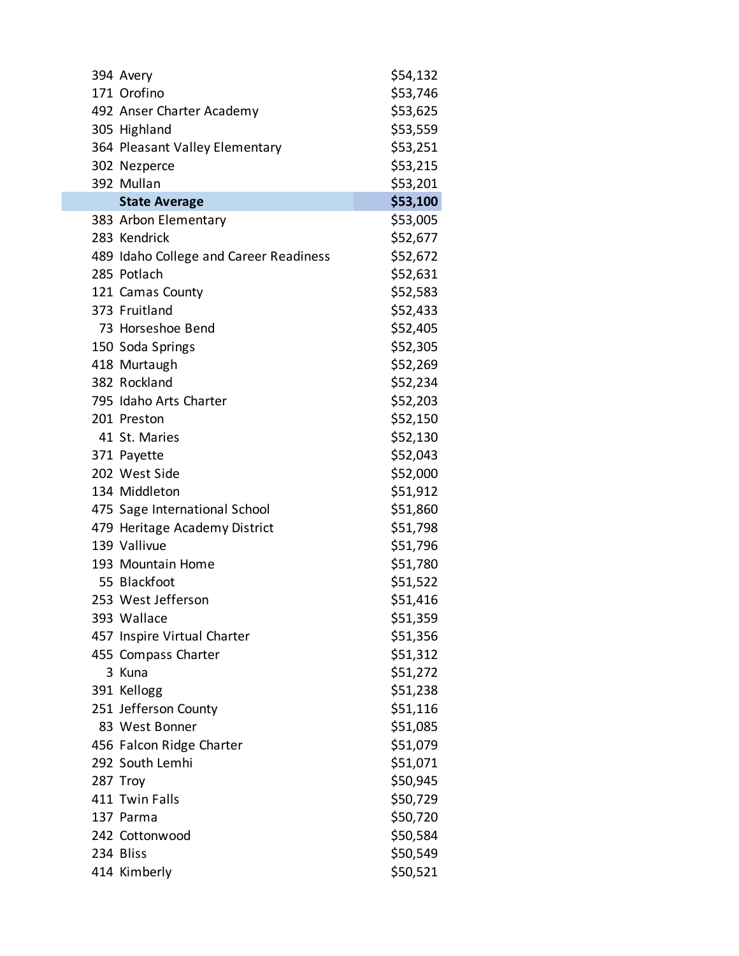| 394 Avery                              | \$54,132 |
|----------------------------------------|----------|
| 171 Orofino                            | \$53,746 |
| 492 Anser Charter Academy              | \$53,625 |
| 305 Highland                           | \$53,559 |
| 364 Pleasant Valley Elementary         | \$53,251 |
| 302 Nezperce                           | \$53,215 |
| 392 Mullan                             | \$53,201 |
| <b>State Average</b>                   | \$53,100 |
| 383 Arbon Elementary                   | \$53,005 |
| 283 Kendrick                           | \$52,677 |
| 489 Idaho College and Career Readiness | \$52,672 |
| 285 Potlach                            | \$52,631 |
| 121 Camas County                       | \$52,583 |
| 373 Fruitland                          | \$52,433 |
| 73 Horseshoe Bend                      | \$52,405 |
| 150 Soda Springs                       | \$52,305 |
| 418 Murtaugh                           | \$52,269 |
| 382 Rockland                           | \$52,234 |
| 795 Idaho Arts Charter                 | \$52,203 |
| 201 Preston                            | \$52,150 |
| 41 St. Maries                          | \$52,130 |
| 371 Payette                            | \$52,043 |
| 202 West Side                          | \$52,000 |
| 134 Middleton                          | \$51,912 |
| 475 Sage International School          | \$51,860 |
| 479 Heritage Academy District          | \$51,798 |
| 139 Vallivue                           | \$51,796 |
| 193 Mountain Home                      | \$51,780 |
| 55 Blackfoot                           | \$51,522 |
| 253 West Jefferson                     | \$51,416 |
| 393 Wallace                            | \$51,359 |
| 457 Inspire Virtual Charter            | \$51,356 |
| 455 Compass Charter                    | \$51,312 |
| 3 Kuna                                 | \$51,272 |
| 391 Kellogg                            | \$51,238 |
| 251 Jefferson County                   | \$51,116 |
| 83 West Bonner                         | \$51,085 |
| 456 Falcon Ridge Charter               | \$51,079 |
| 292 South Lemhi                        | \$51,071 |
| 287 Troy                               | \$50,945 |
| 411 Twin Falls                         | \$50,729 |
| 137 Parma                              | \$50,720 |
| 242 Cottonwood                         | \$50,584 |
| 234 Bliss                              | \$50,549 |
| 414 Kimberly                           | \$50,521 |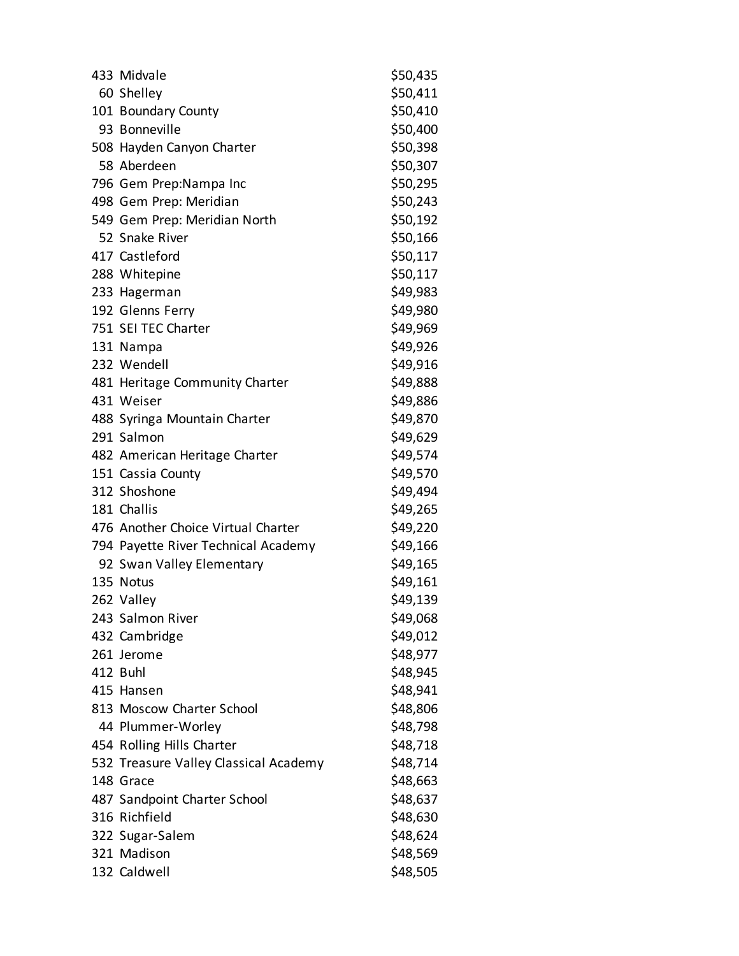| 433 Midvale                           | \$50,435 |
|---------------------------------------|----------|
| 60 Shelley                            | \$50,411 |
| 101 Boundary County                   | \$50,410 |
| 93 Bonneville                         | \$50,400 |
| 508 Hayden Canyon Charter             | \$50,398 |
| 58 Aberdeen                           | \$50,307 |
| 796 Gem Prep:Nampa Inc                | \$50,295 |
| 498 Gem Prep: Meridian                | \$50,243 |
| 549 Gem Prep: Meridian North          | \$50,192 |
| 52 Snake River                        | \$50,166 |
| 417 Castleford                        | \$50,117 |
| 288 Whitepine                         | \$50,117 |
| 233 Hagerman                          | \$49,983 |
| 192 Glenns Ferry                      | \$49,980 |
| 751 SEI TEC Charter                   | \$49,969 |
| 131 Nampa                             | \$49,926 |
| 232 Wendell                           | \$49,916 |
| 481 Heritage Community Charter        | \$49,888 |
| 431 Weiser                            | \$49,886 |
| 488 Syringa Mountain Charter          | \$49,870 |
| 291 Salmon                            | \$49,629 |
| 482 American Heritage Charter         | \$49,574 |
| 151 Cassia County                     | \$49,570 |
| 312 Shoshone                          | \$49,494 |
| 181 Challis                           | \$49,265 |
| 476 Another Choice Virtual Charter    | \$49,220 |
| 794 Payette River Technical Academy   | \$49,166 |
| 92 Swan Valley Elementary             | \$49,165 |
| 135 Notus                             | \$49,161 |
| 262 Valley                            | \$49,139 |
| 243 Salmon River                      | \$49,068 |
| 432 Cambridge                         | \$49,012 |
| 261 Jerome                            | \$48,977 |
| 412 Buhl                              | \$48,945 |
| 415 Hansen                            | \$48,941 |
| 813 Moscow Charter School             | \$48,806 |
| 44 Plummer-Worley                     | \$48,798 |
| 454 Rolling Hills Charter             | \$48,718 |
| 532 Treasure Valley Classical Academy | \$48,714 |
| 148 Grace                             | \$48,663 |
| 487 Sandpoint Charter School          | \$48,637 |
| 316 Richfield                         | \$48,630 |
| 322 Sugar-Salem                       | \$48,624 |
| 321 Madison                           | \$48,569 |
| 132 Caldwell                          | \$48,505 |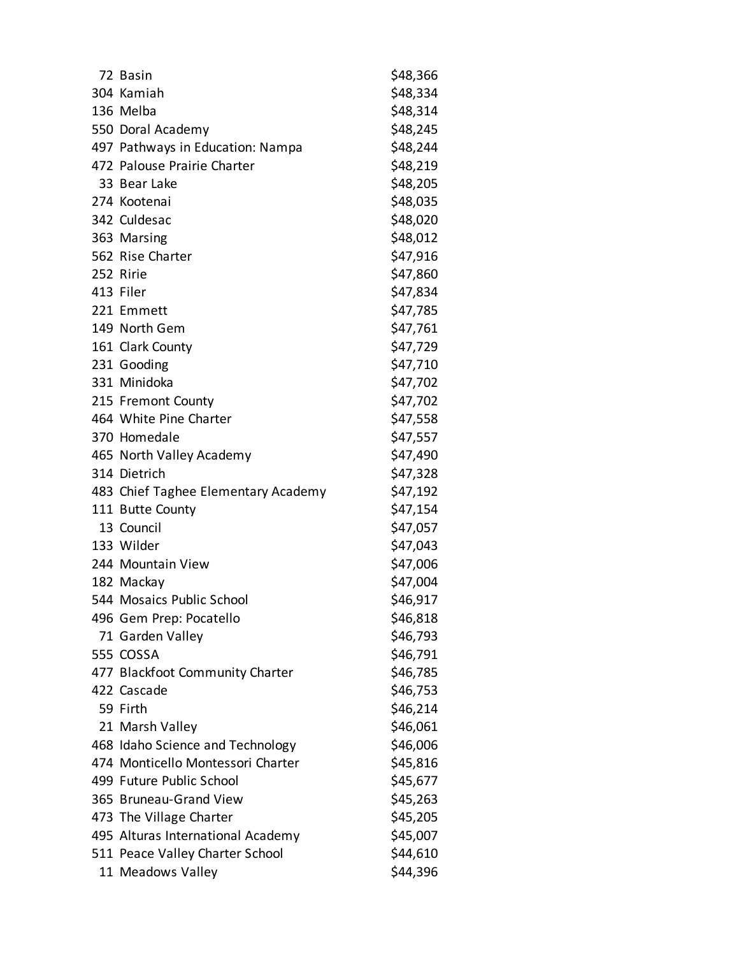| 72 Basin                            | \$48,366 |
|-------------------------------------|----------|
| 304 Kamiah                          | \$48,334 |
| 136 Melba                           | \$48,314 |
| 550 Doral Academy                   | \$48,245 |
| 497 Pathways in Education: Nampa    | \$48,244 |
| 472 Palouse Prairie Charter         | \$48,219 |
| 33 Bear Lake                        | \$48,205 |
| 274 Kootenai                        | \$48,035 |
| 342 Culdesac                        | \$48,020 |
| 363 Marsing                         | \$48,012 |
| 562 Rise Charter                    | \$47,916 |
| 252 Ririe                           | \$47,860 |
| 413 Filer                           | \$47,834 |
| 221 Emmett                          | \$47,785 |
| 149 North Gem                       | \$47,761 |
| 161 Clark County                    | \$47,729 |
| 231 Gooding                         | \$47,710 |
| 331 Minidoka                        | \$47,702 |
| 215 Fremont County                  | \$47,702 |
| 464 White Pine Charter              | \$47,558 |
| 370 Homedale                        | \$47,557 |
| 465 North Valley Academy            | \$47,490 |
| 314 Dietrich                        | \$47,328 |
| 483 Chief Taghee Elementary Academy | \$47,192 |
| 111 Butte County                    | \$47,154 |
| 13 Council                          | \$47,057 |
| 133 Wilder                          | \$47,043 |
| 244 Mountain View                   | \$47,006 |
| 182 Mackay                          | \$47,004 |
| 544 Mosaics Public School           | \$46,917 |
| 496 Gem Prep: Pocatello             | \$46,818 |
| 71 Garden Valley                    | \$46,793 |
| 555 COSSA                           | \$46,791 |
| 477 Blackfoot Community Charter     | \$46,785 |
| 422 Cascade                         | \$46,753 |
| 59 Firth                            | \$46,214 |
| 21 Marsh Valley                     | \$46,061 |
| 468 Idaho Science and Technology    | \$46,006 |
| 474 Monticello Montessori Charter   | \$45,816 |
| 499 Future Public School            | \$45,677 |
| 365 Bruneau-Grand View              | \$45,263 |
| 473 The Village Charter             | \$45,205 |
| 495 Alturas International Academy   | \$45,007 |
| 511 Peace Valley Charter School     | \$44,610 |
| 11 Meadows Valley                   | \$44,396 |